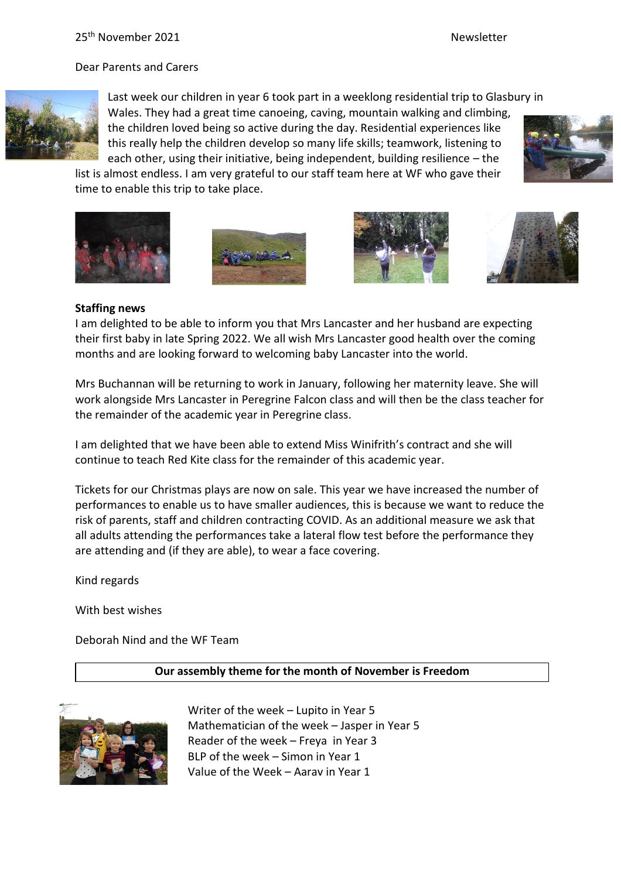Dear Parents and Carers



Last week our children in year 6 took part in a weeklong residential trip to Glasbury in Wales. They had a great time canoeing, caving, mountain walking and climbing, the children loved being so active during the day. Residential experiences like this really help the children develop so many life skills; teamwork, listening to

each other, using their initiative, being independent, building resilience – the list is almost endless. I am very grateful to our staff team here at WF who gave their time to enable this trip to take place.









### **Staffing news**

I am delighted to be able to inform you that Mrs Lancaster and her husband are expecting their first baby in late Spring 2022. We all wish Mrs Lancaster good health over the coming months and are looking forward to welcoming baby Lancaster into the world.

Mrs Buchannan will be returning to work in January, following her maternity leave. She will work alongside Mrs Lancaster in Peregrine Falcon class and will then be the class teacher for the remainder of the academic year in Peregrine class.

I am delighted that we have been able to extend Miss Winifrith's contract and she will continue to teach Red Kite class for the remainder of this academic year.

Tickets for our Christmas plays are now on sale. This year we have increased the number of performances to enable us to have smaller audiences, this is because we want to reduce the risk of parents, staff and children contracting COVID. As an additional measure we ask that all adults attending the performances take a lateral flow test before the performance they are attending and (if they are able), to wear a face covering.

Kind regards

With best wishes

Deborah Nind and the WF Team

#### **Our assembly theme for the month of November is Freedom**



Writer of the week – Lupito in Year 5 Mathematician of the week – Jasper in Year 5 Reader of the week – Freya in Year 3 BLP of the week – Simon in Year 1 Value of the Week – Aarav in Year 1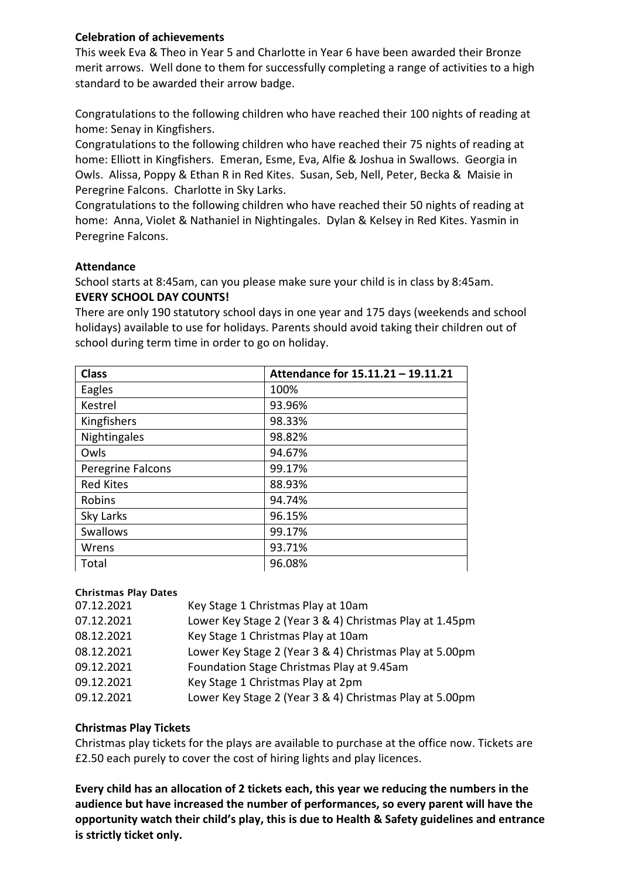## **Celebration of achievements**

This week Eva & Theo in Year 5 and Charlotte in Year 6 have been awarded their Bronze merit arrows. Well done to them for successfully completing a range of activities to a high standard to be awarded their arrow badge.

Congratulations to the following children who have reached their 100 nights of reading at home: Senay in Kingfishers.

Congratulations to the following children who have reached their 75 nights of reading at home: Elliott in Kingfishers. Emeran, Esme, Eva, Alfie & Joshua in Swallows. Georgia in Owls. Alissa, Poppy & Ethan R in Red Kites. Susan, Seb, Nell, Peter, Becka & Maisie in Peregrine Falcons. Charlotte in Sky Larks.

Congratulations to the following children who have reached their 50 nights of reading at home: Anna, Violet & Nathaniel in Nightingales. Dylan & Kelsey in Red Kites. Yasmin in Peregrine Falcons.

### **Attendance**

School starts at 8:45am, can you please make sure your child is in class by 8:45am. **EVERY SCHOOL DAY COUNTS!**

There are only 190 statutory school days in one year and 175 days (weekends and school holidays) available to use for holidays. Parents should avoid taking their children out of school during term time in order to go on holiday.

| <b>Class</b>      | Attendance for 15.11.21 - 19.11.21 |
|-------------------|------------------------------------|
| Eagles            | 100%                               |
| Kestrel           | 93.96%                             |
| Kingfishers       | 98.33%                             |
| Nightingales      | 98.82%                             |
| Owls              | 94.67%                             |
| Peregrine Falcons | 99.17%                             |
| <b>Red Kites</b>  | 88.93%                             |
| Robins            | 94.74%                             |
| Sky Larks         | 96.15%                             |
| <b>Swallows</b>   | 99.17%                             |
| Wrens             | 93.71%                             |
| Total             | 96.08%                             |

#### Christmas Play Dates

| 07.12.2021 | Key Stage 1 Christmas Play at 10am                      |
|------------|---------------------------------------------------------|
| 07.12.2021 | Lower Key Stage 2 (Year 3 & 4) Christmas Play at 1.45pm |
| 08.12.2021 | Key Stage 1 Christmas Play at 10am                      |
| 08.12.2021 | Lower Key Stage 2 (Year 3 & 4) Christmas Play at 5.00pm |
| 09.12.2021 | Foundation Stage Christmas Play at 9.45am               |
| 09.12.2021 | Key Stage 1 Christmas Play at 2pm                       |
| 09.12.2021 | Lower Key Stage 2 (Year 3 & 4) Christmas Play at 5.00pm |

## **Christmas Play Tickets**

Christmas play tickets for the plays are available to purchase at the office now. Tickets are £2.50 each purely to cover the cost of hiring lights and play licences.

**Every child has an allocation of 2 tickets each, this year we reducing the numbers in the audience but have increased the number of performances, so every parent will have the opportunity watch their child's play, this is due to Health & Safety guidelines and entrance is strictly ticket only.**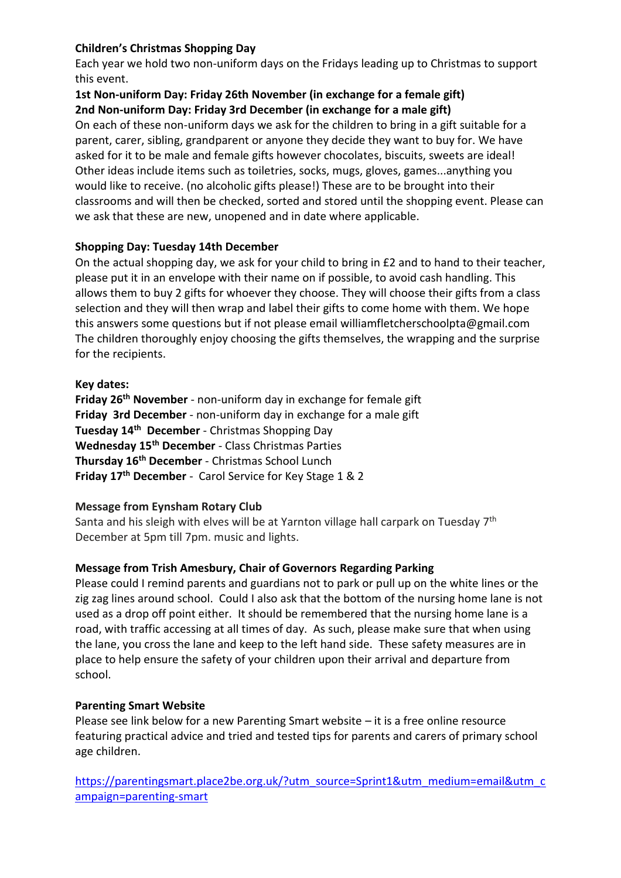# **Children's Christmas Shopping Day**

Each year we hold two non-uniform days on the Fridays leading up to Christmas to support this event.

## **1st Non-uniform Day: Friday 26th November (in exchange for a female gift) 2nd Non-uniform Day: Friday 3rd December (in exchange for a male gift)**

On each of these non-uniform days we ask for the children to bring in a gift suitable for a parent, carer, sibling, grandparent or anyone they decide they want to buy for. We have asked for it to be male and female gifts however chocolates, biscuits, sweets are ideal! Other ideas include items such as toiletries, socks, mugs, gloves, games...anything you would like to receive. (no alcoholic gifts please!) These are to be brought into their classrooms and will then be checked, sorted and stored until the shopping event. Please can we ask that these are new, unopened and in date where applicable.

## **Shopping Day: Tuesday 14th December**

On the actual shopping day, we ask for your child to bring in £2 and to hand to their teacher, please put it in an envelope with their name on if possible, to avoid cash handling. This allows them to buy 2 gifts for whoever they choose. They will choose their gifts from a class selection and they will then wrap and label their gifts to come home with them. We hope this answers some questions but if not please email williamfletcherschoolpta@gmail.com The children thoroughly enjoy choosing the gifts themselves, the wrapping and the surprise for the recipients.

## **Key dates:**

**Friday 26th November** - non-uniform day in exchange for female gift **Friday 3rd December** - non-uniform day in exchange for a male gift **Tuesday 14th December** - Christmas Shopping Day **Wednesday 15th December** - Class Christmas Parties **Thursday 16th December** - Christmas School Lunch **Friday 17th December** - Carol Service for Key Stage 1 & 2

## **Message from Eynsham Rotary Club**

Santa and his sleigh with elves will be at Yarnton village hall carpark on Tuesday  $7^{\rm th}$ December at 5pm till 7pm. music and lights.

# **Message from Trish Amesbury, Chair of Governors Regarding Parking**

Please could I remind parents and guardians not to park or pull up on the white lines or the zig zag lines around school. Could I also ask that the bottom of the nursing home lane is not used as a drop off point either. It should be remembered that the nursing home lane is a road, with traffic accessing at all times of day. As such, please make sure that when using the lane, you cross the lane and keep to the left hand side. These safety measures are in place to help ensure the safety of your children upon their arrival and departure from school.

## **Parenting Smart Website**

Please see link below for a new Parenting Smart website – it is a free online resource featuring practical advice and tried and tested tips for parents and carers of primary school age children.

[https://parentingsmart.place2be.org.uk/?utm\\_source=Sprint1&utm\\_medium=email&utm\\_c](https://parentingsmart.place2be.org.uk/?utm_source=Sprint1&utm_medium=email&utm_campaign=parenting-smart) [ampaign=parenting-smart](https://parentingsmart.place2be.org.uk/?utm_source=Sprint1&utm_medium=email&utm_campaign=parenting-smart)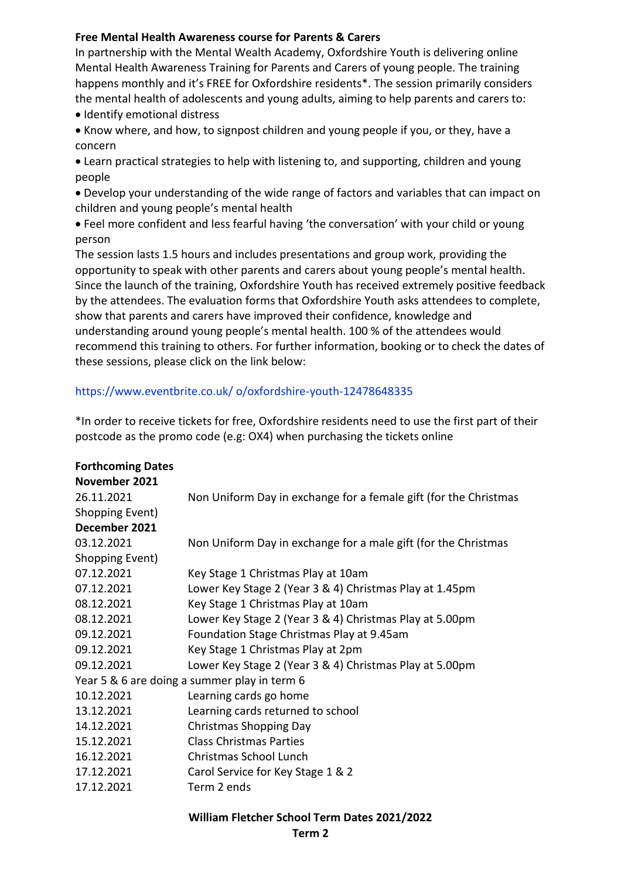## **Free Mental Health Awareness course for Parents & Carers**

In partnership with the Mental Wealth Academy, Oxfordshire Youth is delivering online Mental Health Awareness Training for Parents and Carers of young people. The training happens monthly and it's FREE for Oxfordshire residents\*. The session primarily considers the mental health of adolescents and young adults, aiming to help parents and carers to:

- Identify emotional distress
- Know where, and how, to signpost children and young people if you, or they, have a concern

• Learn practical strategies to help with listening to, and supporting, children and young people

• Develop your understanding of the wide range of factors and variables that can impact on children and young people's mental health

• Feel more confident and less fearful having 'the conversation' with your child or young person

The session lasts 1.5 hours and includes presentations and group work, providing the opportunity to speak with other parents and carers about young people's mental health. Since the launch of the training, Oxfordshire Youth has received extremely positive feedback by the attendees. The evaluation forms that Oxfordshire Youth asks attendees to complete, show that parents and carers have improved their confidence, knowledge and understanding around young people's mental health. 100 % of the attendees would recommend this training to others. For further information, booking or to check the dates of these sessions, please click on the link below:

## https://www.eventbrite.co.uk/ o/oxfordshire-youth-12478648335

\*In order to receive tickets for free, Oxfordshire residents need to use the first part of their postcode as the promo code (e.g: OX4) when purchasing the tickets online

| <b>Forthcoming Dates</b><br>November 2021    |                                                                  |  |
|----------------------------------------------|------------------------------------------------------------------|--|
| 26.11.2021                                   | Non Uniform Day in exchange for a female gift (for the Christmas |  |
| Shopping Event)                              |                                                                  |  |
| December 2021                                |                                                                  |  |
| 03.12.2021                                   | Non Uniform Day in exchange for a male gift (for the Christmas   |  |
| Shopping Event)                              |                                                                  |  |
| 07.12.2021                                   | Key Stage 1 Christmas Play at 10am                               |  |
| 07.12.2021                                   | Lower Key Stage 2 (Year 3 & 4) Christmas Play at 1.45pm          |  |
| 08.12.2021                                   | Key Stage 1 Christmas Play at 10am                               |  |
| 08.12.2021                                   | Lower Key Stage 2 (Year 3 & 4) Christmas Play at 5.00pm          |  |
| 09.12.2021                                   | Foundation Stage Christmas Play at 9.45am                        |  |
| 09.12.2021                                   | Key Stage 1 Christmas Play at 2pm                                |  |
| 09.12.2021                                   | Lower Key Stage 2 (Year 3 & 4) Christmas Play at 5.00pm          |  |
| Year 5 & 6 are doing a summer play in term 6 |                                                                  |  |
| 10.12.2021                                   | Learning cards go home                                           |  |
| 13.12.2021                                   | Learning cards returned to school                                |  |
| 14.12.2021                                   | Christmas Shopping Day                                           |  |
| 15.12.2021                                   | <b>Class Christmas Parties</b>                                   |  |
| 16.12.2021                                   | Christmas School Lunch                                           |  |
| 17.12.2021                                   | Carol Service for Key Stage 1 & 2                                |  |
| 17.12.2021                                   | Term 2 ends                                                      |  |

#### **William Fletcher School Term Dates 2021/2022**